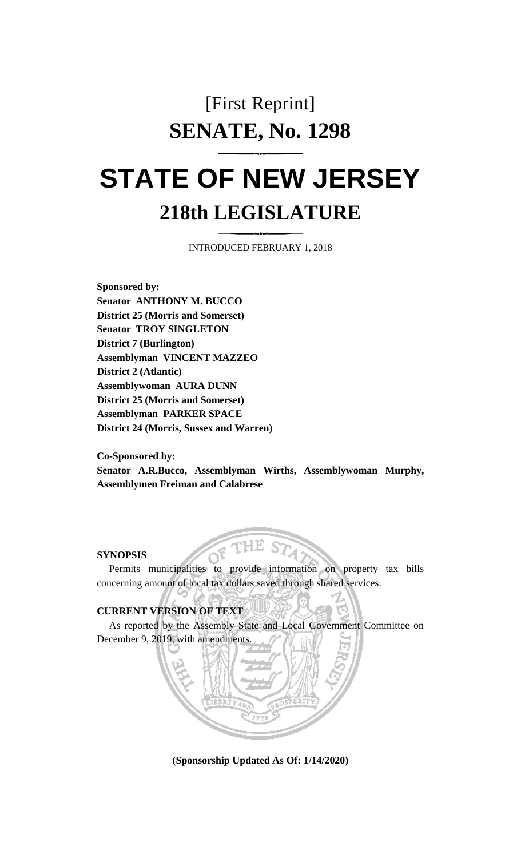## [First Reprint] **SENATE, No. 1298**

## **STATE OF NEW JERSEY 218th LEGISLATURE**

INTRODUCED FEBRUARY 1, 2018

**Sponsored by: Senator ANTHONY M. BUCCO District 25 (Morris and Somerset) Senator TROY SINGLETON District 7 (Burlington) Assemblyman VINCENT MAZZEO District 2 (Atlantic) Assemblywoman AURA DUNN District 25 (Morris and Somerset) Assemblyman PARKER SPACE District 24 (Morris, Sussex and Warren)**

**Co-Sponsored by: Senator A.R.Bucco, Assemblyman Wirths, Assemblywoman Murphy, Assemblymen Freiman and Calabrese**

## **SYNOPSIS**

Permits municipalities to provide information on property tax bills concerning amount of local tax dollars saved through shared services.

## **CURRENT VERSION OF TEXT**

As reported by the Assembly State and Local Government Committee on December 9, 2019, with amendments.



**(Sponsorship Updated As Of: 1/14/2020)**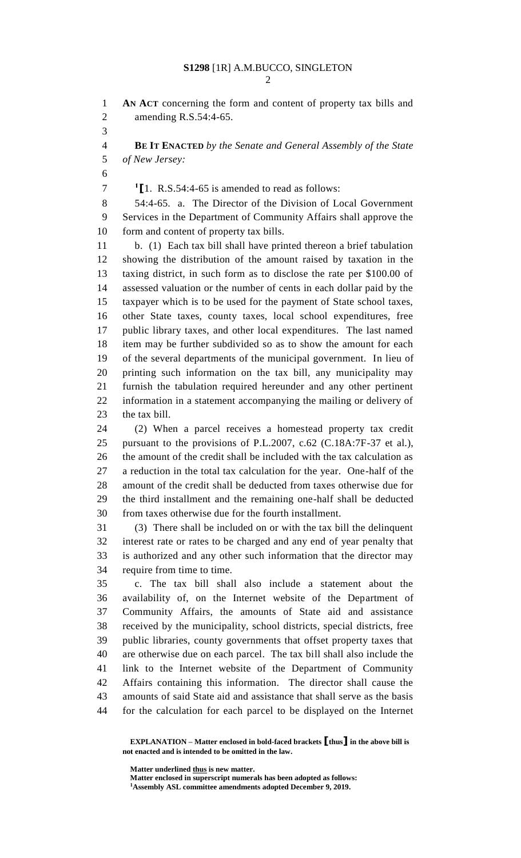| v<br>۰,<br>I         |
|----------------------|
| I<br>۱<br>٦<br>٦<br> |
|                      |

 **AN ACT** concerning the form and content of property tax bills and amending R.S.54:4-65.

 **BE IT ENACTED** *by the Senate and General Assembly of the State of New Jersey:*

 $\binom{1}{1}$ . R.S.54:4-65 is amended to read as follows:

 54:4-65. a. The Director of the Division of Local Government Services in the Department of Community Affairs shall approve the 10 form and content of property tax bills.

 b. (1) Each tax bill shall have printed thereon a brief tabulation showing the distribution of the amount raised by taxation in the taxing district, in such form as to disclose the rate per \$100.00 of assessed valuation or the number of cents in each dollar paid by the taxpayer which is to be used for the payment of State school taxes, other State taxes, county taxes, local school expenditures, free public library taxes, and other local expenditures. The last named item may be further subdivided so as to show the amount for each of the several departments of the municipal government. In lieu of printing such information on the tax bill, any municipality may furnish the tabulation required hereunder and any other pertinent information in a statement accompanying the mailing or delivery of the tax bill.

 (2) When a parcel receives a homestead property tax credit pursuant to the provisions of P.L.2007, c.62 (C.18A:7F-37 et al.), the amount of the credit shall be included with the tax calculation as a reduction in the total tax calculation for the year. One-half of the amount of the credit shall be deducted from taxes otherwise due for the third installment and the remaining one-half shall be deducted from taxes otherwise due for the fourth installment.

 (3) There shall be included on or with the tax bill the delinquent interest rate or rates to be charged and any end of year penalty that is authorized and any other such information that the director may require from time to time.

 c. The tax bill shall also include a statement about the availability of, on the Internet website of the Department of Community Affairs, the amounts of State aid and assistance received by the municipality, school districts, special districts, free public libraries, county governments that offset property taxes that are otherwise due on each parcel. The tax bill shall also include the link to the Internet website of the Department of Community Affairs containing this information. The director shall cause the amounts of said State aid and assistance that shall serve as the basis for the calculation for each parcel to be displayed on the Internet

**Matter underlined thus is new matter.**

**Matter enclosed in superscript numerals has been adopted as follows:**

**EXPLANATION – Matter enclosed in bold-faced brackets [thus] in the above bill is not enacted and is intended to be omitted in the law.**

**Assembly ASL committee amendments adopted December 9, 2019.**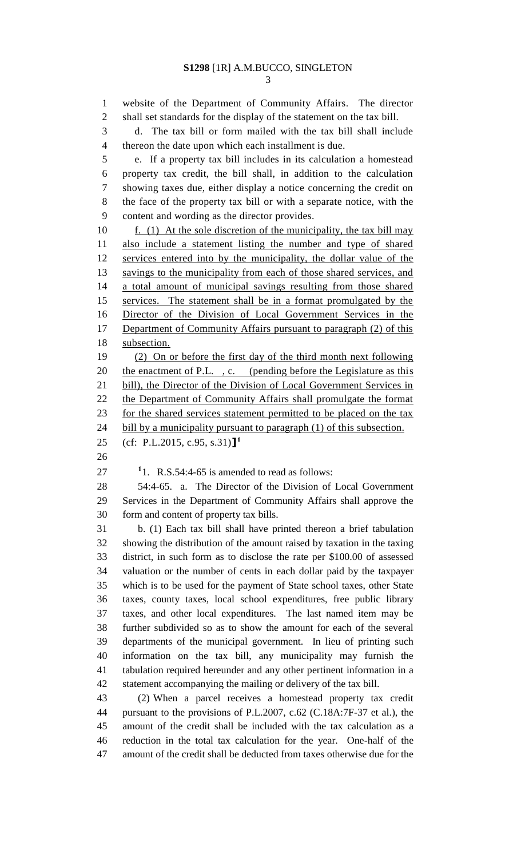website of the Department of Community Affairs. The director shall set standards for the display of the statement on the tax bill. d. The tax bill or form mailed with the tax bill shall include thereon the date upon which each installment is due. e. If a property tax bill includes in its calculation a homestead property tax credit, the bill shall, in addition to the calculation showing taxes due, either display a notice concerning the credit on the face of the property tax bill or with a separate notice, with the content and wording as the director provides. 10 f. (1) At the sole discretion of the municipality, the tax bill may also include a statement listing the number and type of shared services entered into by the municipality, the dollar value of the 13 savings to the municipality from each of those shared services, and a total amount of municipal savings resulting from those shared services. The statement shall be in a format promulgated by the Director of the Division of Local Government Services in the 17 Department of Community Affairs pursuant to paragraph (2) of this subsection. (2) On or before the first day of the third month next following 20 the enactment of P.L., c. (pending before the Legislature as this 21 bill), the Director of the Division of Local Government Services in the Department of Community Affairs shall promulgate the format 23 for the shared services statement permitted to be placed on the tax 24 bill by a municipality pursuant to paragraph (1) of this subsection. (cf: P.L.2015, c.95, s.31)**] 1** . R.S.54:4-65 is amended to read as follows: 54:4-65. a. The Director of the Division of Local Government Services in the Department of Community Affairs shall approve the form and content of property tax bills. b. (1) Each tax bill shall have printed thereon a brief tabulation showing the distribution of the amount raised by taxation in the taxing district, in such form as to disclose the rate per \$100.00 of assessed valuation or the number of cents in each dollar paid by the taxpayer which is to be used for the payment of State school taxes, other State taxes, county taxes, local school expenditures, free public library taxes, and other local expenditures. The last named item may be further subdivided so as to show the amount for each of the several departments of the municipal government. In lieu of printing such information on the tax bill, any municipality may furnish the tabulation required hereunder and any other pertinent information in a statement accompanying the mailing or delivery of the tax bill. (2) When a parcel receives a homestead property tax credit pursuant to the provisions of P.L.2007, c.62 (C.18A:7F-37 et al.), the amount of the credit shall be included with the tax calculation as a reduction in the total tax calculation for the year. One-half of the amount of the credit shall be deducted from taxes otherwise due for the